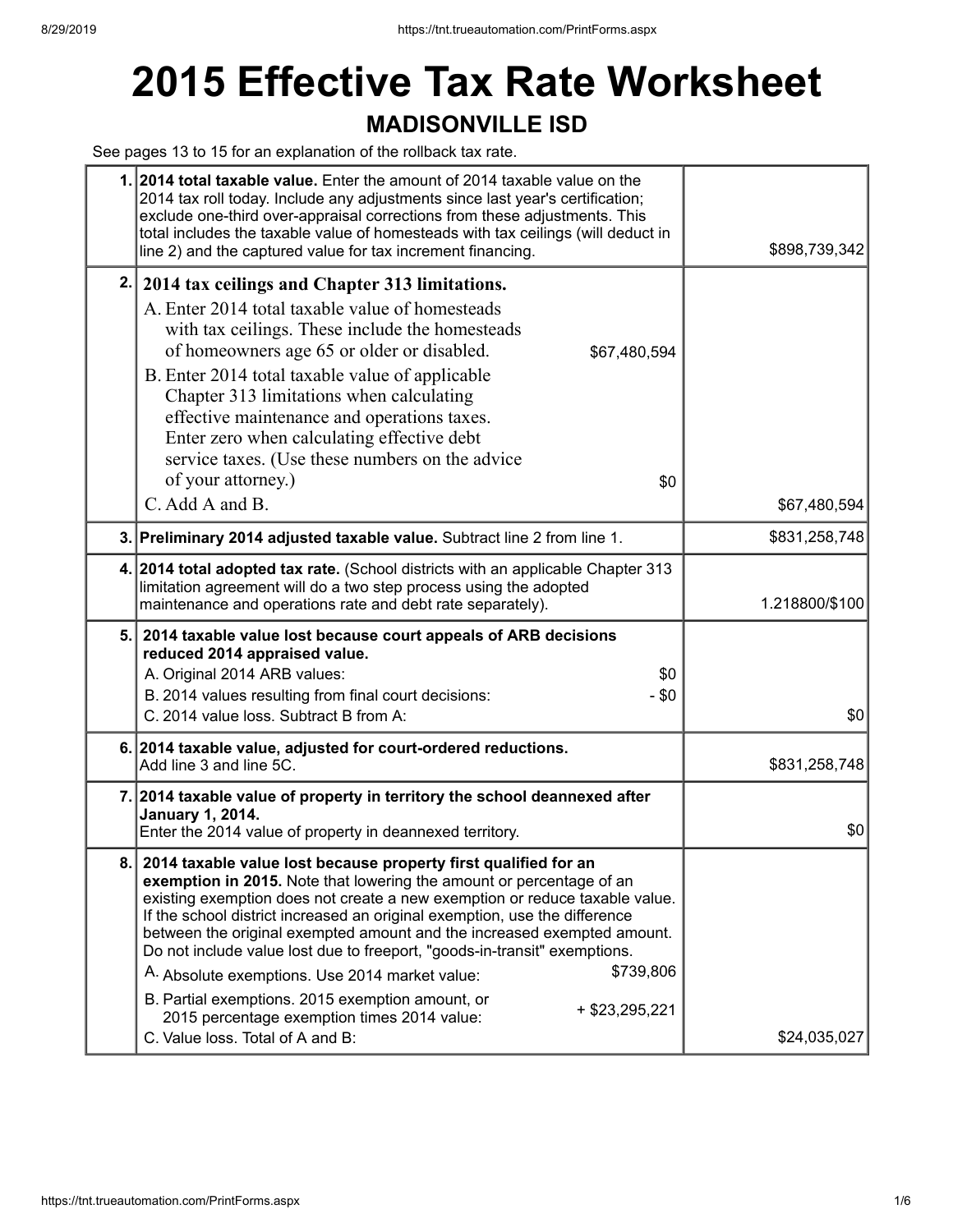## **2015 Effective Tax Rate Worksheet**

### **MADISONVILLE ISD**

See pages 13 to 15 for an explanation of the rollback tax rate.

|    | 1. 2014 total taxable value. Enter the amount of 2014 taxable value on the<br>2014 tax roll today. Include any adjustments since last year's certification;<br>exclude one-third over-appraisal corrections from these adjustments. This<br>total includes the taxable value of homesteads with tax ceilings (will deduct in<br>line 2) and the captured value for tax increment financing.                                                                                                                                                                                                                                                                                          | \$898,739,342  |
|----|--------------------------------------------------------------------------------------------------------------------------------------------------------------------------------------------------------------------------------------------------------------------------------------------------------------------------------------------------------------------------------------------------------------------------------------------------------------------------------------------------------------------------------------------------------------------------------------------------------------------------------------------------------------------------------------|----------------|
| 2. | 2014 tax ceilings and Chapter 313 limitations.<br>A. Enter 2014 total taxable value of homesteads<br>with tax ceilings. These include the homesteads<br>of homeowners age 65 or older or disabled.<br>\$67,480,594<br>B. Enter 2014 total taxable value of applicable<br>Chapter 313 limitations when calculating<br>effective maintenance and operations taxes.<br>Enter zero when calculating effective debt<br>service taxes. (Use these numbers on the advice<br>of your attorney.)<br>\$0<br>C. Add A and B.                                                                                                                                                                    | \$67,480,594   |
|    | 3. Preliminary 2014 adjusted taxable value. Subtract line 2 from line 1.                                                                                                                                                                                                                                                                                                                                                                                                                                                                                                                                                                                                             | \$831,258,748  |
|    | 4. 2014 total adopted tax rate. (School districts with an applicable Chapter 313<br>limitation agreement will do a two step process using the adopted<br>maintenance and operations rate and debt rate separately).                                                                                                                                                                                                                                                                                                                                                                                                                                                                  | 1.218800/\$100 |
|    | 5. 2014 taxable value lost because court appeals of ARB decisions<br>reduced 2014 appraised value.<br>A. Original 2014 ARB values:<br>\$0<br>B. 2014 values resulting from final court decisions:<br>$-$ \$0<br>C. 2014 value loss. Subtract B from A:                                                                                                                                                                                                                                                                                                                                                                                                                               | \$0            |
|    | 6. 2014 taxable value, adjusted for court-ordered reductions.<br>Add line 3 and line 5C.                                                                                                                                                                                                                                                                                                                                                                                                                                                                                                                                                                                             | \$831,258,748  |
|    | 7. 2014 taxable value of property in territory the school deannexed after<br><b>January 1, 2014.</b><br>Enter the 2014 value of property in deannexed territory.                                                                                                                                                                                                                                                                                                                                                                                                                                                                                                                     | \$0            |
| 8. | 2014 taxable value lost because property first qualified for an<br>exemption in 2015. Note that lowering the amount or percentage of an<br>existing exemption does not create a new exemption or reduce taxable value.<br>If the school district increased an original exemption, use the difference<br>between the original exempted amount and the increased exempted amount.<br>Do not include value lost due to freeport, "goods-in-transit" exemptions.<br>\$739,806<br>A. Absolute exemptions. Use 2014 market value:<br>B. Partial exemptions. 2015 exemption amount, or<br>+ \$23,295,221<br>2015 percentage exemption times 2014 value:<br>C. Value loss. Total of A and B: | \$24,035,027   |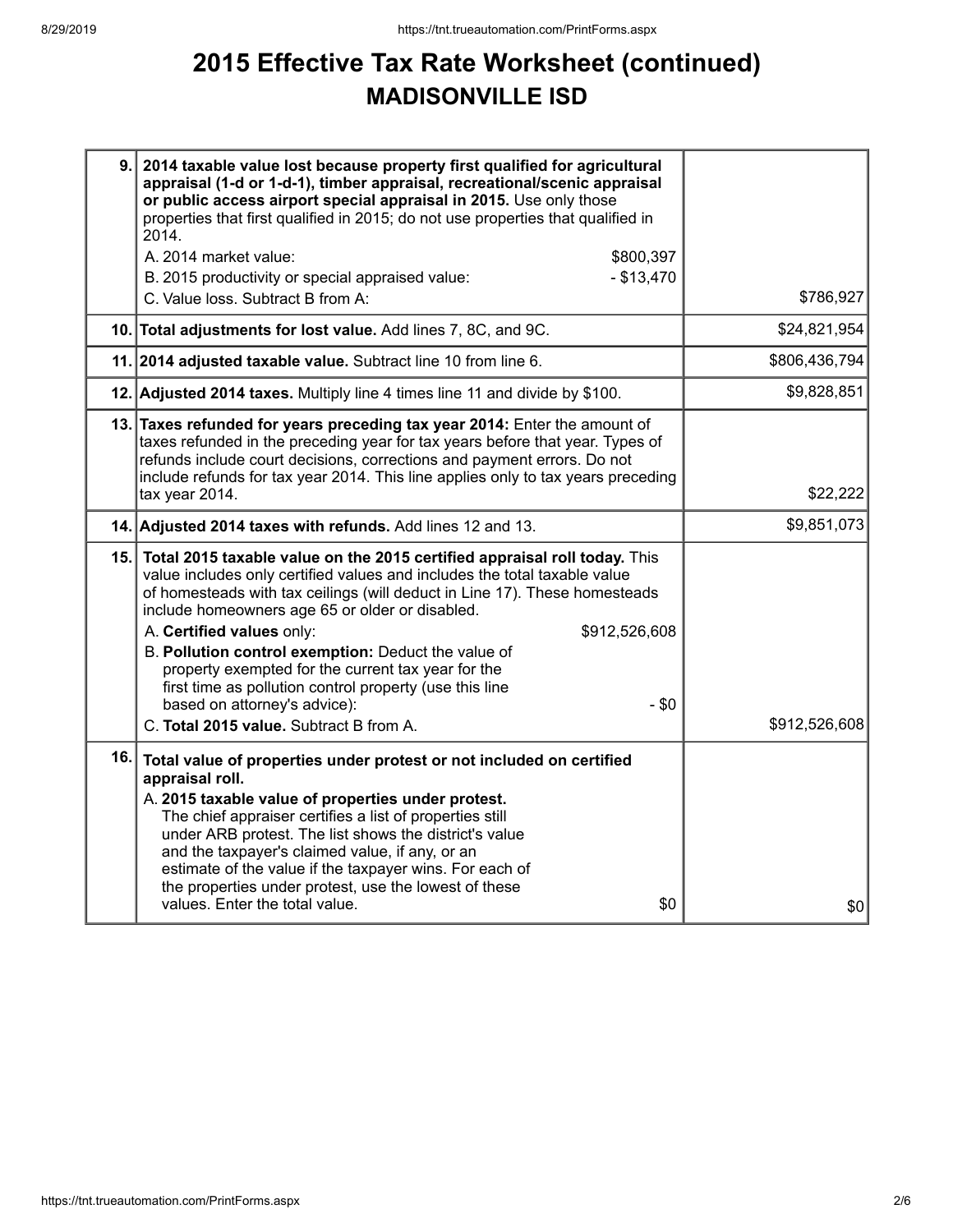## **2015 Effective Tax Rate Worksheet (continued) MADISONVILLE ISD**

| 9.1 | 2014 taxable value lost because property first qualified for agricultural<br>appraisal (1-d or 1-d-1), timber appraisal, recreational/scenic appraisal<br>or public access airport special appraisal in 2015. Use only those<br>properties that first qualified in 2015; do not use properties that qualified in<br>2014.<br>A. 2014 market value:<br>\$800,397<br>$-$ \$13,470<br>B. 2015 productivity or special appraised value:<br>C. Value loss. Subtract B from A:                                                                                                                                | \$786,927     |
|-----|---------------------------------------------------------------------------------------------------------------------------------------------------------------------------------------------------------------------------------------------------------------------------------------------------------------------------------------------------------------------------------------------------------------------------------------------------------------------------------------------------------------------------------------------------------------------------------------------------------|---------------|
|     |                                                                                                                                                                                                                                                                                                                                                                                                                                                                                                                                                                                                         |               |
|     | 10. Total adjustments for lost value. Add lines 7, 8C, and 9C.                                                                                                                                                                                                                                                                                                                                                                                                                                                                                                                                          | \$24,821,954  |
|     | 11. 2014 adjusted taxable value. Subtract line 10 from line 6.                                                                                                                                                                                                                                                                                                                                                                                                                                                                                                                                          | \$806,436,794 |
|     | 12. Adjusted 2014 taxes. Multiply line 4 times line 11 and divide by \$100.                                                                                                                                                                                                                                                                                                                                                                                                                                                                                                                             | \$9,828,851   |
|     | 13. Taxes refunded for years preceding tax year 2014: Enter the amount of<br>taxes refunded in the preceding year for tax years before that year. Types of<br>refunds include court decisions, corrections and payment errors. Do not<br>include refunds for tax year 2014. This line applies only to tax years preceding<br>tax year 2014.                                                                                                                                                                                                                                                             | \$22,222      |
|     | 14. Adjusted 2014 taxes with refunds. Add lines 12 and 13.                                                                                                                                                                                                                                                                                                                                                                                                                                                                                                                                              | \$9,851,073   |
|     | 15. Total 2015 taxable value on the 2015 certified appraisal roll today. This<br>value includes only certified values and includes the total taxable value<br>of homesteads with tax ceilings (will deduct in Line 17). These homesteads<br>include homeowners age 65 or older or disabled.<br>A. Certified values only:<br>\$912,526,608<br>B. Pollution control exemption: Deduct the value of<br>property exempted for the current tax year for the<br>first time as pollution control property (use this line<br>based on attorney's advice):<br>$-$ \$0<br>C. Total 2015 value. Subtract B from A. | \$912,526,608 |
| 16. | Total value of properties under protest or not included on certified<br>appraisal roll.<br>A. 2015 taxable value of properties under protest.<br>The chief appraiser certifies a list of properties still<br>under ARB protest. The list shows the district's value<br>and the taxpayer's claimed value, if any, or an<br>estimate of the value if the taxpayer wins. For each of<br>the properties under protest, use the lowest of these<br>values. Enter the total value.<br>\$0                                                                                                                     | \$0           |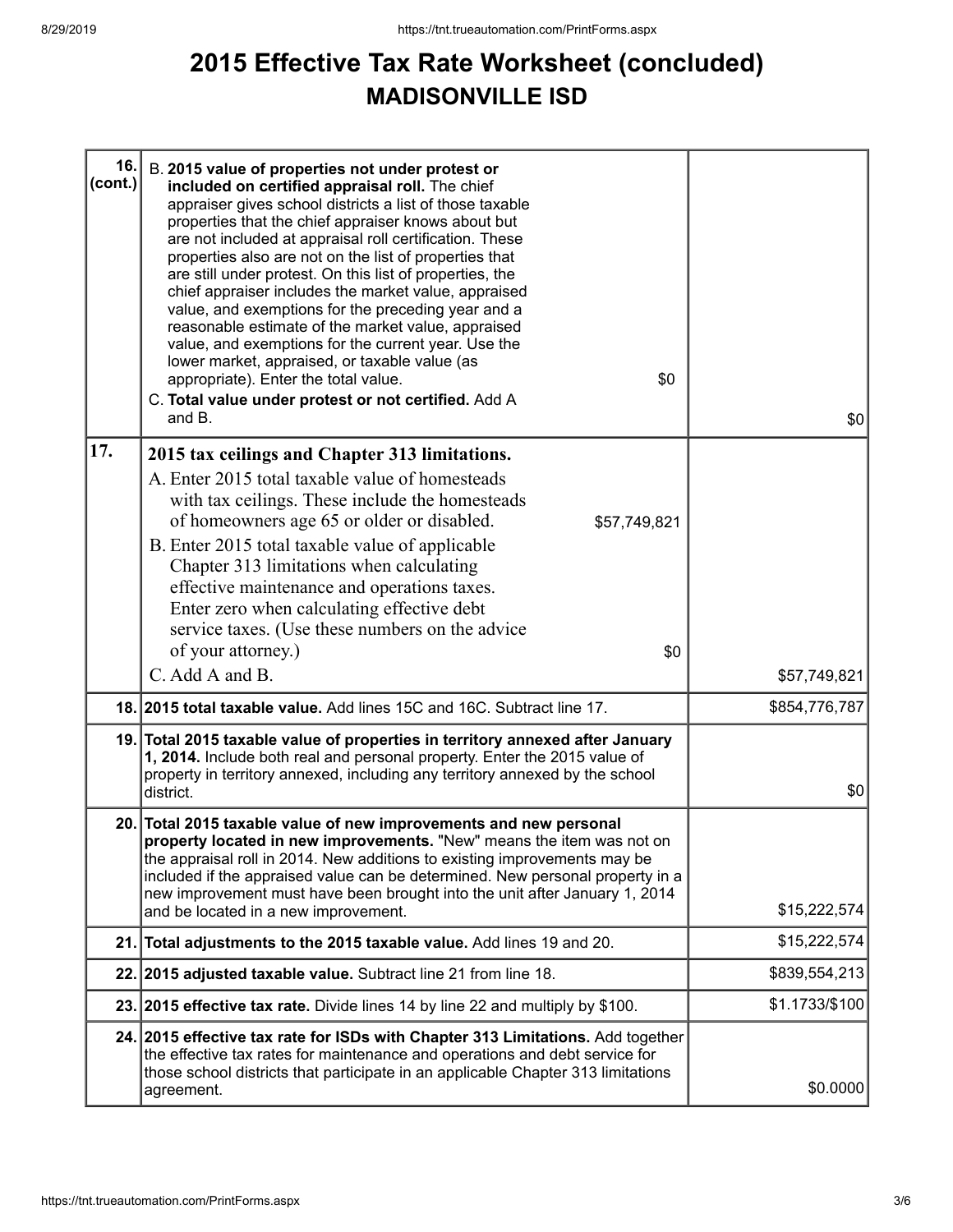## **2015 Effective Tax Rate Worksheet (concluded) MADISONVILLE ISD**

| 16.<br>(cont.) | B. 2015 value of properties not under protest or<br>included on certified appraisal roll. The chief<br>appraiser gives school districts a list of those taxable<br>properties that the chief appraiser knows about but<br>are not included at appraisal roll certification. These<br>properties also are not on the list of properties that<br>are still under protest. On this list of properties, the<br>chief appraiser includes the market value, appraised<br>value, and exemptions for the preceding year and a<br>reasonable estimate of the market value, appraised<br>value, and exemptions for the current year. Use the<br>lower market, appraised, or taxable value (as<br>\$0<br>appropriate). Enter the total value.<br>C. Total value under protest or not certified. Add A<br>and B. | \$0            |
|----------------|------------------------------------------------------------------------------------------------------------------------------------------------------------------------------------------------------------------------------------------------------------------------------------------------------------------------------------------------------------------------------------------------------------------------------------------------------------------------------------------------------------------------------------------------------------------------------------------------------------------------------------------------------------------------------------------------------------------------------------------------------------------------------------------------------|----------------|
| 17.            |                                                                                                                                                                                                                                                                                                                                                                                                                                                                                                                                                                                                                                                                                                                                                                                                      |                |
|                | 2015 tax ceilings and Chapter 313 limitations.<br>A. Enter 2015 total taxable value of homesteads<br>with tax ceilings. These include the homesteads<br>of homeowners age 65 or older or disabled.<br>\$57,749,821<br>B. Enter 2015 total taxable value of applicable<br>Chapter 313 limitations when calculating<br>effective maintenance and operations taxes.<br>Enter zero when calculating effective debt<br>service taxes. (Use these numbers on the advice<br>of your attorney.)<br>\$0                                                                                                                                                                                                                                                                                                       |                |
|                | C. Add A and B.                                                                                                                                                                                                                                                                                                                                                                                                                                                                                                                                                                                                                                                                                                                                                                                      | \$57,749,821   |
|                | 18. 2015 total taxable value. Add lines 15C and 16C. Subtract line 17.                                                                                                                                                                                                                                                                                                                                                                                                                                                                                                                                                                                                                                                                                                                               | \$854,776,787  |
|                | 19. Total 2015 taxable value of properties in territory annexed after January<br>1, 2014. Include both real and personal property. Enter the 2015 value of<br>property in territory annexed, including any territory annexed by the school<br>district.                                                                                                                                                                                                                                                                                                                                                                                                                                                                                                                                              | \$0            |
|                | 20. Total 2015 taxable value of new improvements and new personal<br>property located in new improvements. "New" means the item was not on<br>the appraisal roll in 2014. New additions to existing improvements may be<br>included if the appraised value can be determined. New personal property in a<br>new improvement must have been brought into the unit after January 1, 2014<br>and be located in a new improvement.                                                                                                                                                                                                                                                                                                                                                                       | \$15,222,574   |
| 21.            | Total adjustments to the 2015 taxable value. Add lines 19 and 20.                                                                                                                                                                                                                                                                                                                                                                                                                                                                                                                                                                                                                                                                                                                                    | \$15,222,574   |
|                | 22. 2015 adjusted taxable value. Subtract line 21 from line 18.                                                                                                                                                                                                                                                                                                                                                                                                                                                                                                                                                                                                                                                                                                                                      | \$839,554,213  |
|                | 23. 2015 effective tax rate. Divide lines 14 by line 22 and multiply by \$100.                                                                                                                                                                                                                                                                                                                                                                                                                                                                                                                                                                                                                                                                                                                       | \$1.1733/\$100 |
|                | 24. 2015 effective tax rate for ISDs with Chapter 313 Limitations. Add together<br>the effective tax rates for maintenance and operations and debt service for<br>those school districts that participate in an applicable Chapter 313 limitations<br>agreement.                                                                                                                                                                                                                                                                                                                                                                                                                                                                                                                                     | \$0.0000       |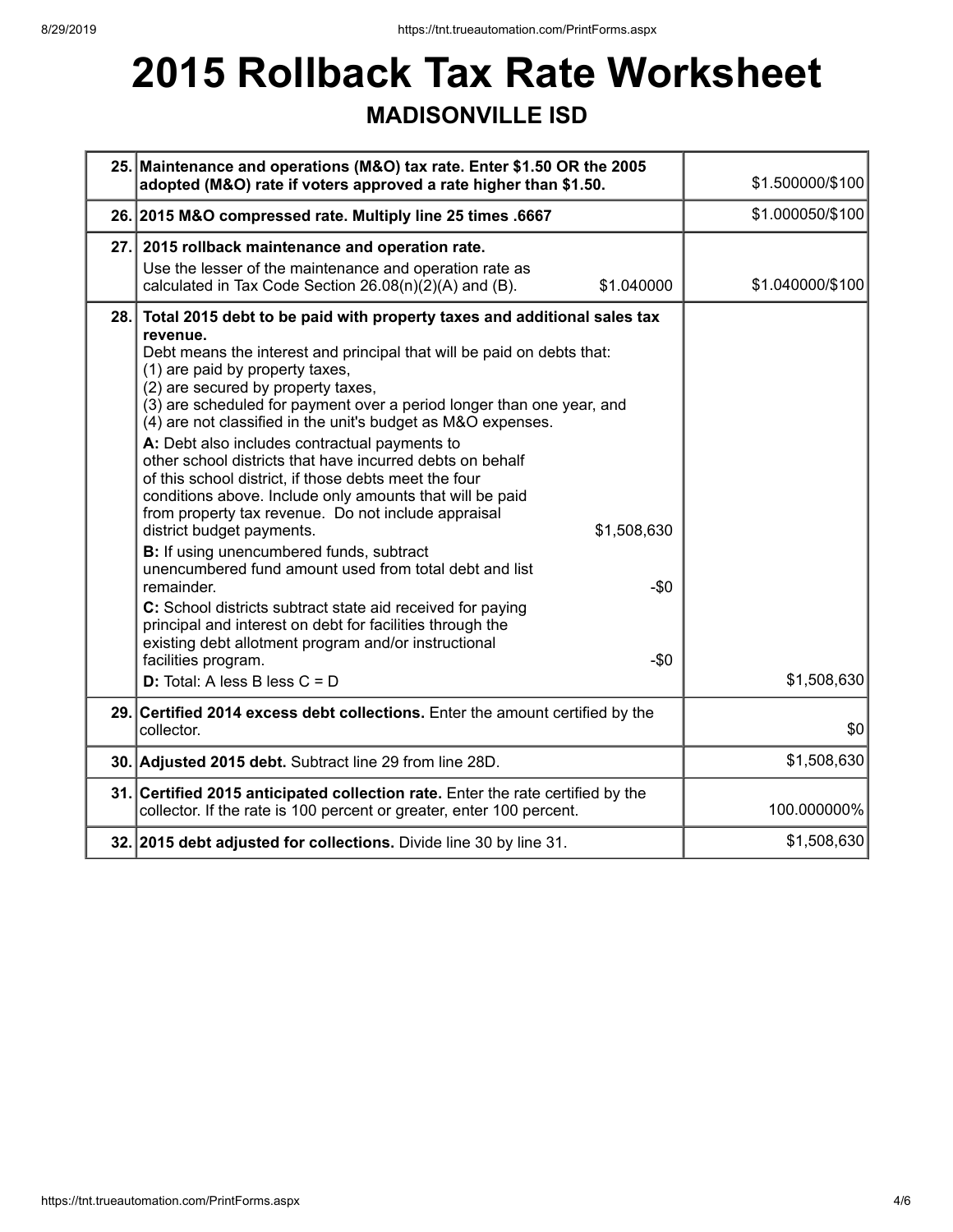# **2015 Rollback Tax Rate Worksheet**

### **MADISONVILLE ISD**

|     | 25. Maintenance and operations (M&O) tax rate. Enter \$1.50 OR the 2005<br>adopted (M&O) rate if voters approved a rate higher than \$1.50.                                                                                                                                                                                                                                                                                                                                                                                                                                                                                                                                                                                                                                                                                                                                                                                                                                                                                                                                                                      | \$1.500000/\$100 |
|-----|------------------------------------------------------------------------------------------------------------------------------------------------------------------------------------------------------------------------------------------------------------------------------------------------------------------------------------------------------------------------------------------------------------------------------------------------------------------------------------------------------------------------------------------------------------------------------------------------------------------------------------------------------------------------------------------------------------------------------------------------------------------------------------------------------------------------------------------------------------------------------------------------------------------------------------------------------------------------------------------------------------------------------------------------------------------------------------------------------------------|------------------|
|     | 26. 2015 M&O compressed rate. Multiply line 25 times .6667                                                                                                                                                                                                                                                                                                                                                                                                                                                                                                                                                                                                                                                                                                                                                                                                                                                                                                                                                                                                                                                       | \$1.000050/\$100 |
|     | 27. 2015 rollback maintenance and operation rate.<br>Use the lesser of the maintenance and operation rate as<br>calculated in Tax Code Section 26.08(n)(2)(A) and (B).<br>\$1.040000                                                                                                                                                                                                                                                                                                                                                                                                                                                                                                                                                                                                                                                                                                                                                                                                                                                                                                                             | \$1.040000/\$100 |
| 28. | Total 2015 debt to be paid with property taxes and additional sales tax<br>revenue.<br>Debt means the interest and principal that will be paid on debts that:<br>(1) are paid by property taxes,<br>(2) are secured by property taxes,<br>(3) are scheduled for payment over a period longer than one year, and<br>(4) are not classified in the unit's budget as M&O expenses.<br>A: Debt also includes contractual payments to<br>other school districts that have incurred debts on behalf<br>of this school district, if those debts meet the four<br>conditions above. Include only amounts that will be paid<br>from property tax revenue. Do not include appraisal<br>district budget payments.<br>\$1,508,630<br>B: If using unencumbered funds, subtract<br>unencumbered fund amount used from total debt and list<br>$-\$0$<br>remainder.<br>C: School districts subtract state aid received for paying<br>principal and interest on debt for facilities through the<br>existing debt allotment program and/or instructional<br>facilities program.<br>$-50$<br><b>D:</b> Total: A less B less $C = D$ | \$1,508,630      |
|     | 29. Certified 2014 excess debt collections. Enter the amount certified by the<br>collector.                                                                                                                                                                                                                                                                                                                                                                                                                                                                                                                                                                                                                                                                                                                                                                                                                                                                                                                                                                                                                      | \$0              |
|     | 30. Adjusted 2015 debt. Subtract line 29 from line 28D.                                                                                                                                                                                                                                                                                                                                                                                                                                                                                                                                                                                                                                                                                                                                                                                                                                                                                                                                                                                                                                                          | \$1,508,630      |
|     | 31. Certified 2015 anticipated collection rate. Enter the rate certified by the<br>collector. If the rate is 100 percent or greater, enter 100 percent.                                                                                                                                                                                                                                                                                                                                                                                                                                                                                                                                                                                                                                                                                                                                                                                                                                                                                                                                                          | 100.000000%      |
|     | 32. 2015 debt adjusted for collections. Divide line 30 by line 31.                                                                                                                                                                                                                                                                                                                                                                                                                                                                                                                                                                                                                                                                                                                                                                                                                                                                                                                                                                                                                                               | \$1,508,630      |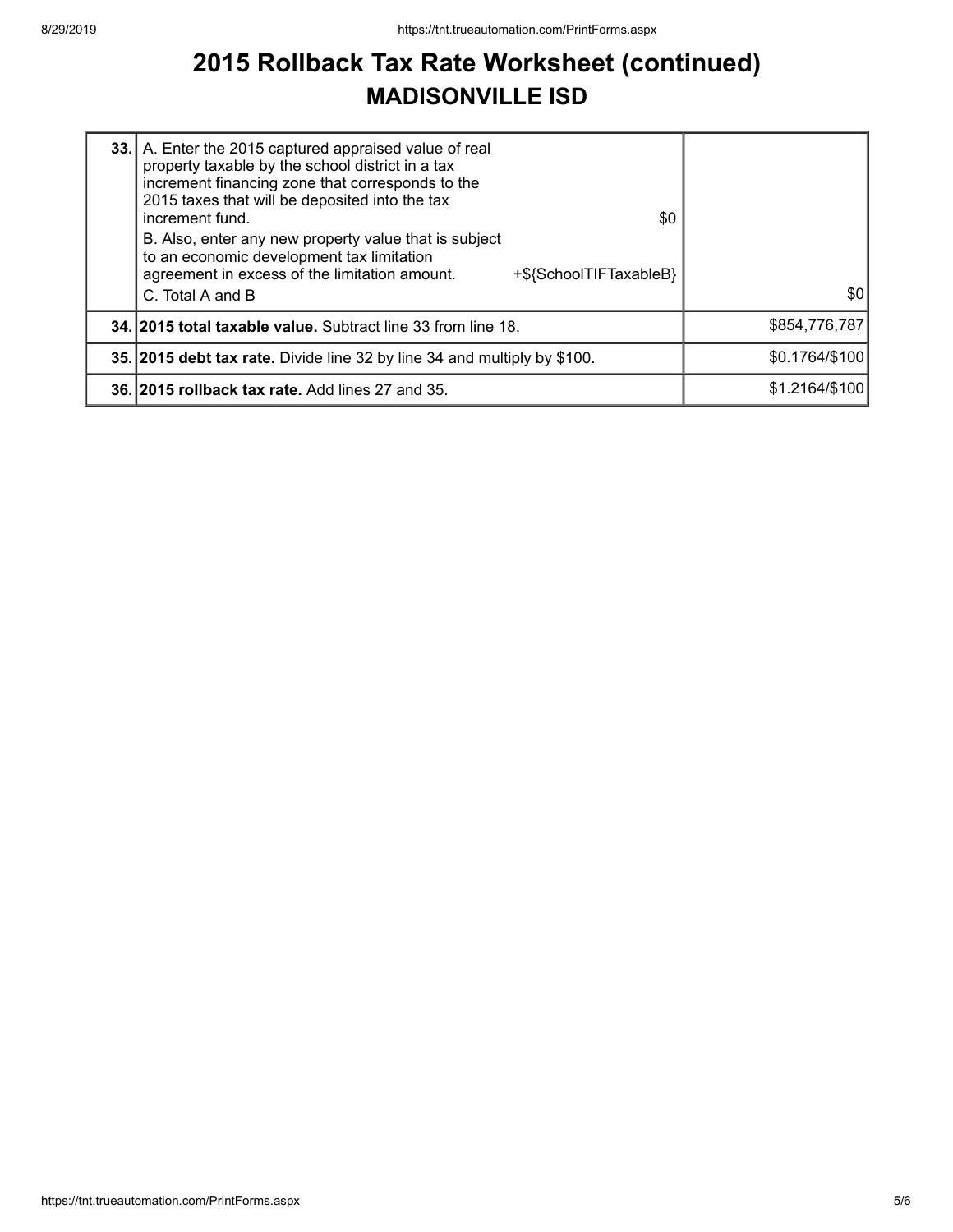### **2015 Rollback Tax Rate Worksheet (continued) MADISONVILLE ISD**

| 33. A. Enter the 2015 captured appraised value of real<br>property taxable by the school district in a tax<br>increment financing zone that corresponds to the<br>2015 taxes that will be deposited into the tax<br>\$0<br>increment fund.<br>B. Also, enter any new property value that is subject<br>to an economic development tax limitation<br>agreement in excess of the limitation amount.<br>+\${SchoolTIFTaxableB} |                |
|-----------------------------------------------------------------------------------------------------------------------------------------------------------------------------------------------------------------------------------------------------------------------------------------------------------------------------------------------------------------------------------------------------------------------------|----------------|
| C. Total A and B                                                                                                                                                                                                                                                                                                                                                                                                            | 30             |
| <b>34. 2015 total taxable value.</b> Subtract line 33 from line 18.                                                                                                                                                                                                                                                                                                                                                         | \$854,776,787  |
| 35. 2015 debt tax rate. Divide line 32 by line 34 and multiply by \$100.                                                                                                                                                                                                                                                                                                                                                    | \$0.1764/\$100 |
| 36. 2015 rollback tax rate. Add lines 27 and 35.                                                                                                                                                                                                                                                                                                                                                                            | \$1.2164/\$100 |